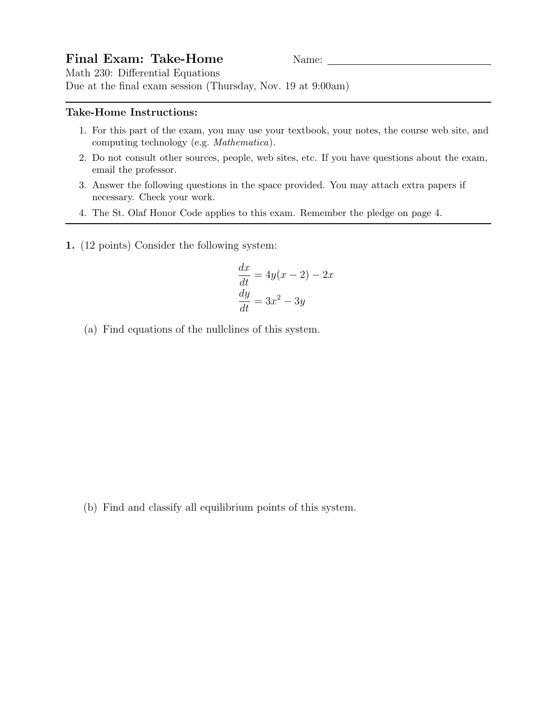## Final Exam: Take-Home Name: Name:

Math 230: Differential Equations Due at the final exam session (Thursday, Nov. 19 at 9:00am)

## Take-Home Instructions:

- 1. For this part of the exam, you may use your textbook, your notes, the course web site, and computing technology (e.g. Mathematica).
- 2. Do not consult other sources, people, web sites, etc. If you have questions about the exam, email the professor.
- 3. Answer the following questions in the space provided. You may attach extra papers if necessary. Check your work.
- 4. The St. Olaf Honor Code applies to this exam. Remember the pledge on page 4.
- 1. (12 points) Consider the following system:

$$
\frac{dx}{dt} = 4y(x - 2) - 2x
$$

$$
\frac{dy}{dt} = 3x^2 - 3y
$$

(a) Find equations of the nullclines of this system.

(b) Find and classify all equilibrium points of this system.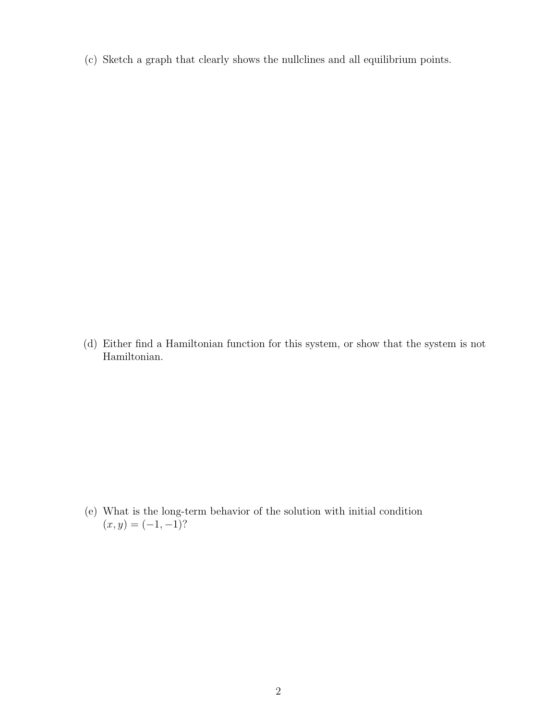(c) Sketch a graph that clearly shows the nullclines and all equilibrium points.

(d) Either find a Hamiltonian function for this system, or show that the system is not Hamiltonian.

(e) What is the long-term behavior of the solution with initial condition  $(x, y) = (-1, -1)?$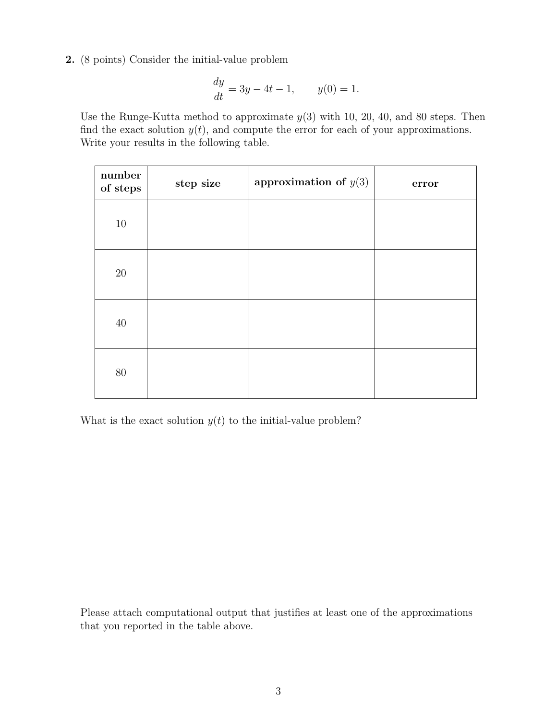2. (8 points) Consider the initial-value problem

$$
\frac{dy}{dt} = 3y - 4t - 1, \qquad y(0) = 1.
$$

Use the Runge-Kutta method to approximate  $y(3)$  with 10, 20, 40, and 80 steps. Then find the exact solution  $y(t)$ , and compute the error for each of your approximations. Write your results in the following table.

| number<br>of steps | step size | approximation of $y(3)$ | error |
|--------------------|-----------|-------------------------|-------|
| $10\,$             |           |                         |       |
| $20\,$             |           |                         |       |
| 40                 |           |                         |       |
| $80\,$             |           |                         |       |

What is the exact solution  $y(t)$  to the initial-value problem?

Please attach computational output that justifies at least one of the approximations that you reported in the table above.